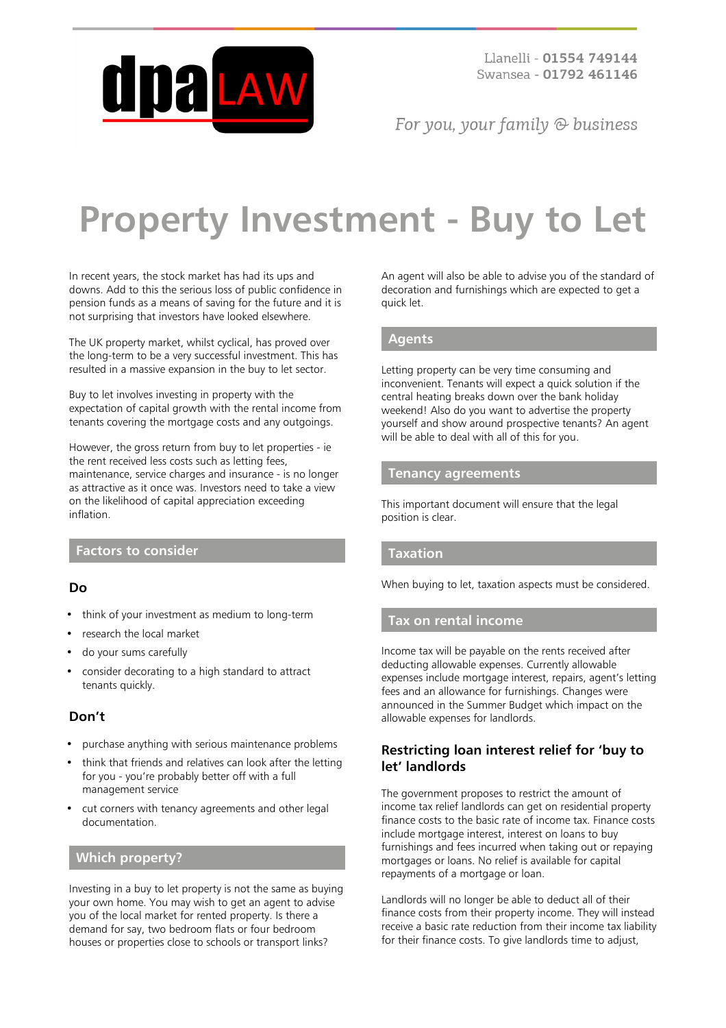

For you, your family  $\odot$  business

# **Property Investment - Buy to Let**

In recent years, the stock market has had its ups and downs. Add to this the serious loss of public confidence in pension funds as a means of saving for the future and it is not surprising that investors have looked elsewhere.

The UK property market, whilst cyclical, has proved over the long-term to be a very successful investment. This has resulted in a massive expansion in the buy to let sector.

Buy to let involves investing in property with the expectation of capital growth with the rental income from tenants covering the mortgage costs and any outgoings.

However, the gross return from buy to let properties - ie the rent received less costs such as letting fees, maintenance, service charges and insurance - is no longer as attractive as it once was. Investors need to take a view on the likelihood of capital appreciation exceeding inflation.

## **Factors to consider**

## **Do**

- think of your investment as medium to long-term
- research the local market
- do your sums carefully
- consider decorating to a high standard to attract tenants quickly.

## **Don't**

- purchase anything with serious maintenance problems
- think that friends and relatives can look after the letting for you - you're probably better off with a full management service
- cut corners with tenancy agreements and other legal documentation.

## **Which property?**

Investing in a buy to let property is not the same as buying your own home. You may wish to get an agent to advise you of the local market for rented property. Is there a demand for say, two bedroom flats or four bedroom houses or properties close to schools or transport links?

An agent will also be able to advise you of the standard of decoration and furnishings which are expected to get a quick let.

#### **Agents**

Letting property can be very time consuming and inconvenient. Tenants will expect a quick solution if the central heating breaks down over the bank holiday weekend! Also do you want to advertise the property yourself and show around prospective tenants? An agent will be able to deal with all of this for you.

#### **Tenancy agreements**

This important document will ensure that the legal position is clear.

## **Taxation**

When buying to let, taxation aspects must be considered.

#### **Tax on rental income**

Income tax will be payable on the rents received after deducting allowable expenses. Currently allowable expenses include mortgage interest, repairs, agent's letting fees and an allowance for furnishings. Changes were announced in the Summer Budget which impact on the allowable expenses for landlords.

#### **Restricting loan interest relief for 'buy to let' landlords**

The government proposes to restrict the amount of income tax relief landlords can get on residential property finance costs to the basic rate of income tax. Finance costs include mortgage interest, interest on loans to buy furnishings and fees incurred when taking out or repaying mortgages or loans. No relief is available for capital repayments of a mortgage or loan.

Landlords will no longer be able to deduct all of their finance costs from their property income. They will instead receive a basic rate reduction from their income tax liability for their finance costs. To give landlords time to adjust,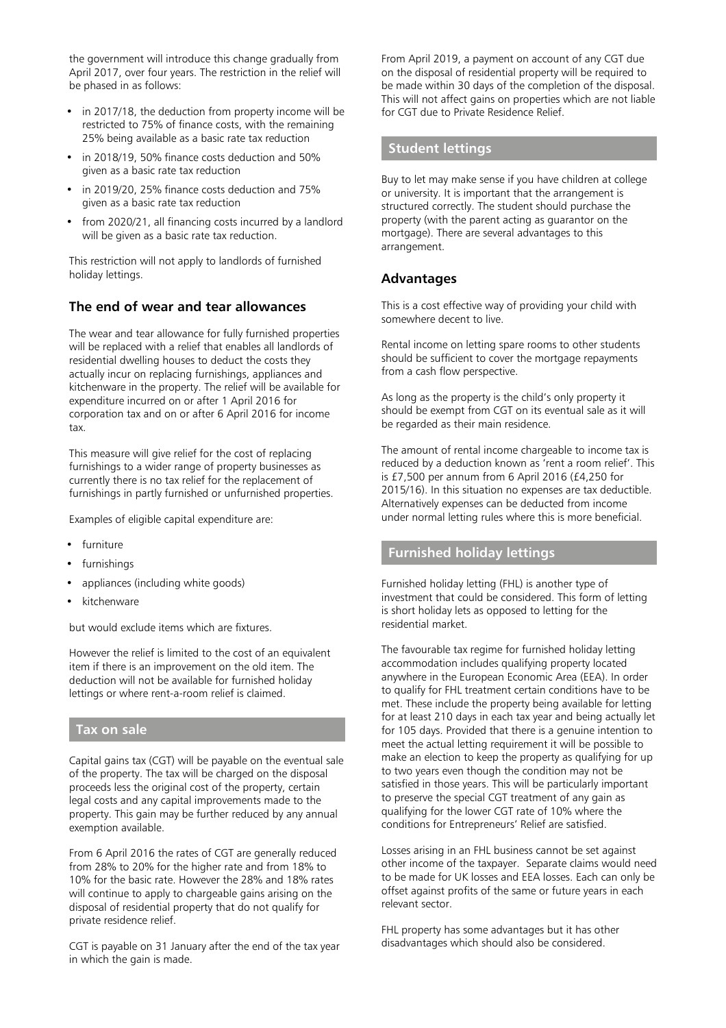the government will introduce this change gradually from April 2017, over four years. The restriction in the relief will be phased in as follows:

- in 2017/18, the deduction from property income will be restricted to 75% of finance costs, with the remaining 25% being available as a basic rate tax reduction
- in 2018/19, 50% finance costs deduction and 50% given as a basic rate tax reduction
- in 2019/20, 25% finance costs deduction and 75% given as a basic rate tax reduction
- from 2020/21, all financing costs incurred by a landlord will be given as a basic rate tax reduction.

This restriction will not apply to landlords of furnished holiday lettings.

# **The end of wear and tear allowances**

The wear and tear allowance for fully furnished properties will be replaced with a relief that enables all landlords of residential dwelling houses to deduct the costs they actually incur on replacing furnishings, appliances and kitchenware in the property. The relief will be available for expenditure incurred on or after 1 April 2016 for corporation tax and on or after 6 April 2016 for income tax.

This measure will give relief for the cost of replacing furnishings to a wider range of property businesses as currently there is no tax relief for the replacement of furnishings in partly furnished or unfurnished properties.

Examples of eligible capital expenditure are:

- furniture
- furnishings
- appliances (including white goods)
- kitchenware

but would exclude items which are fixtures.

However the relief is limited to the cost of an equivalent item if there is an improvement on the old item. The deduction will not be available for furnished holiday lettings or where rent-a-room relief is claimed.

#### **Tax on sale**

Capital gains tax (CGT) will be payable on the eventual sale of the property. The tax will be charged on the disposal proceeds less the original cost of the property, certain legal costs and any capital improvements made to the property. This gain may be further reduced by any annual exemption available.

From 6 April 2016 the rates of CGT are generally reduced from 28% to 20% for the higher rate and from 18% to 10% for the basic rate. However the 28% and 18% rates will continue to apply to chargeable gains arising on the disposal of residential property that do not qualify for private residence relief.

CGT is payable on 31 January after the end of the tax year in which the gain is made.

From April 2019, a payment on account of any CGT due on the disposal of residential property will be required to be made within 30 days of the completion of the disposal. This will not affect gains on properties which are not liable for CGT due to Private Residence Relief.

#### **Student lettings**

Buy to let may make sense if you have children at college or university. It is important that the arrangement is structured correctly. The student should purchase the property (with the parent acting as guarantor on the mortgage). There are several advantages to this arrangement.

#### **Advantages**

This is a cost effective way of providing your child with somewhere decent to live.

Rental income on letting spare rooms to other students should be sufficient to cover the mortgage repayments from a cash flow perspective.

As long as the property is the child's only property it should be exempt from CGT on its eventual sale as it will be regarded as their main residence.

The amount of rental income chargeable to income tax is reduced by a deduction known as 'rent a room relief'. This is £7,500 per annum from 6 April 2016 (£4,250 for 2015/16). In this situation no expenses are tax deductible. Alternatively expenses can be deducted from income under normal letting rules where this is more beneficial.

# **Furnished holiday lettings**

Furnished holiday letting (FHL) is another type of investment that could be considered. This form of letting is short holiday lets as opposed to letting for the residential market.

The favourable tax regime for furnished holiday letting accommodation includes qualifying property located anywhere in the European Economic Area (EEA). In order to qualify for FHL treatment certain conditions have to be met. These include the property being available for letting for at least 210 days in each tax year and being actually let for 105 days. Provided that there is a genuine intention to meet the actual letting requirement it will be possible to make an election to keep the property as qualifying for up to two years even though the condition may not be satisfied in those years. This will be particularly important to preserve the special CGT treatment of any gain as qualifying for the lower CGT rate of 10% where the conditions for Entrepreneurs' Relief are satisfied.

Losses arising in an FHL business cannot be set against other income of the taxpayer. Separate claims would need to be made for UK losses and EEA losses. Each can only be offset against profits of the same or future years in each relevant sector.

FHL property has some advantages but it has other disadvantages which should also be considered.